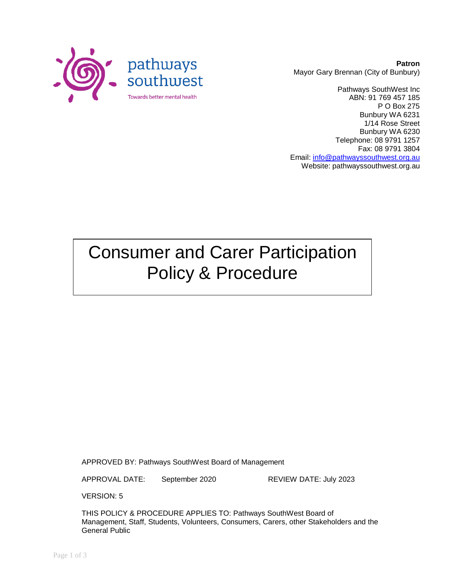

**Patron** Mayor Gary Brennan (City of Bunbury)

Pathways SouthWest Inc ABN: 91 769 457 185 P O Box 275 Bunbury WA 6231 1/14 Rose Street Bunbury WA 6230 Telephone: 08 9791 1257 Fax: 08 9791 3804 Email: [info@pathwayssouthwest.org.au](mailto:info@pathwayssouthwest.org.au) Website: pathwayssouthwest.org.au

# Consumer and Carer Participation Policy & Procedure

APPROVED BY: Pathways SouthWest Board of Management

APPROVAL DATE: September 2020 REVIEW DATE: July 2023

VERSION: 5

THIS POLICY & PROCEDURE APPLIES TO: Pathways SouthWest Board of Management, Staff, Students, Volunteers, Consumers, Carers, other Stakeholders and the General Public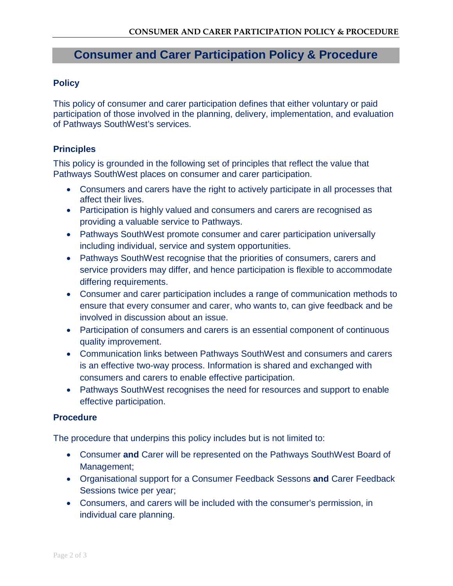## **Consumer and Carer Participation Policy & Procedure**

#### **Policy**

This policy of consumer and carer participation defines that either voluntary or paid participation of those involved in the planning, delivery, implementation, and evaluation of Pathways SouthWest's services.

#### **Principles**

This policy is grounded in the following set of principles that reflect the value that Pathways SouthWest places on consumer and carer participation.

- Consumers and carers have the right to actively participate in all processes that affect their lives.
- Participation is highly valued and consumers and carers are recognised as providing a valuable service to Pathways.
- Pathways SouthWest promote consumer and carer participation universally including individual, service and system opportunities.
- Pathways SouthWest recognise that the priorities of consumers, carers and service providers may differ, and hence participation is flexible to accommodate differing requirements.
- Consumer and carer participation includes a range of communication methods to ensure that every consumer and carer, who wants to, can give feedback and be involved in discussion about an issue.
- Participation of consumers and carers is an essential component of continuous quality improvement.
- Communication links between Pathways SouthWest and consumers and carers is an effective two-way process. Information is shared and exchanged with consumers and carers to enable effective participation.
- Pathways SouthWest recognises the need for resources and support to enable effective participation.

#### **Procedure**

The procedure that underpins this policy includes but is not limited to:

- Consumer **and** Carer will be represented on the Pathways SouthWest Board of Management;
- Organisational support for a Consumer Feedback Sessons **and** Carer Feedback Sessions twice per year;
- Consumers, and carers will be included with the consumer's permission, in individual care planning.